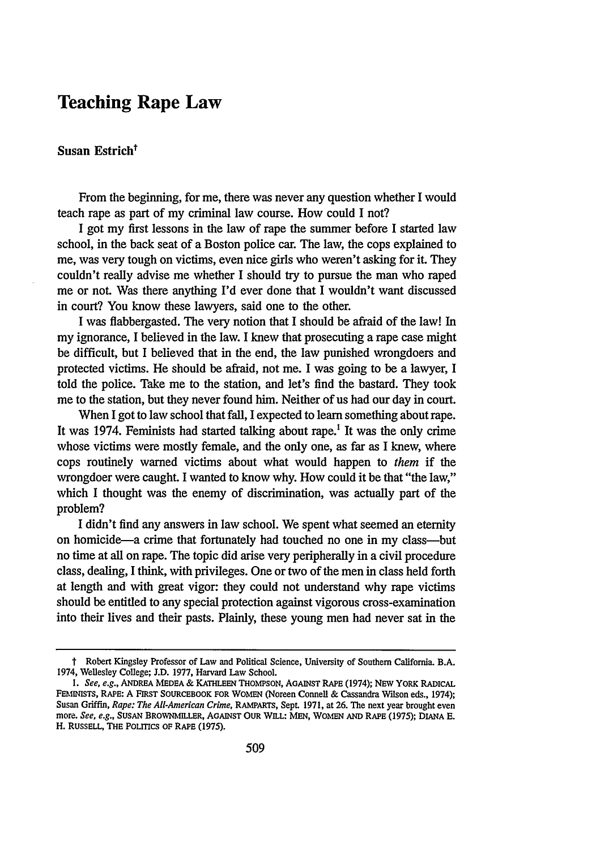# **Teaching Rape Law**

## Susan Estricht

From the beginning, for me, there was never any question whether **I** would teach rape as part of my criminal law course. How could **I** not?

**I** got my first lessons in the law of rape the summer before **I** started law school, in the back seat of a Boston police car. The law, the cops explained to me, was very tough on victims, even nice girls who weren't asking for it. They couldn't really advise me whether I should try to pursue the man who raped me or not. Was there anything **I'd** ever done that I wouldn't want discussed in court? You know these lawyers, said one to the other.

I was flabbergasted. **The** very notion that **I** should be afraid of the law! In my ignorance, **I** believed in the law. I knew that prosecuting a rape case might be difficult, but I believed that in the end, the law punished wrongdoers and protected victims. He should be afraid, not me. **I** was going to be a lawyer, **I** told the police. Take me to the station, and let's find the bastard. They took me to the station, but they never found him. Neither of us had our day in court.

When I got to law school that fall, I expected to learn something about rape. It was 1974. Feminists had started talking about rape.' It was the only crime whose victims were mostly female, and the only one, as far as **I** knew, where cops routinely warned victims about what would happen to *them* if the wrongdoer were caught. I wanted to know why. How could it be that "the law," which I thought was the enemy of discrimination, was actually part of the problem?

I didn't find any answers in law school. We spent what seemed an eternity on homicide-a crime that fortunately had touched no one in my class-but no time at all on rape. The topic did arise very peripherally in a civil procedure class, dealing, I think, with privileges. One or two of the men in class held forth at length and with great vigor: they could not understand why rape victims should be entitled to any special protection against vigorous cross-examination into their lives and their pasts. Plainly, these young men had never sat in the

t Robert Kingsley Professor of Law and Political Science, University of Southern California. B.A. 1974, Welesley College; J.D. 1977, Harvard Law School.

*I. See, e.g.,* ANDREA **MEDEA** & KATHLEEN THOMPSON, AGAINST RAPE (1974); **NEw** YORK RADICAL FEMINISTS, RAPE: A FIRST SOURCEBOOK FOR WOMEN (Noreen Connell & Cassandra Wilson eds., 1974); Susan Griffin, *Rape: The All.American Crime,* RAMPARTS, Sept. **1971,** at **26.** The next year brought even more. *See, e.g.,* **SUSAN** BROWNMIILLER, **AGAINST** OUR WILL: MEN, WoMEN AND RAPE (1975); **DIANA E.** H. RUSSELL, **THE** POLITICS oF RAPE (1975).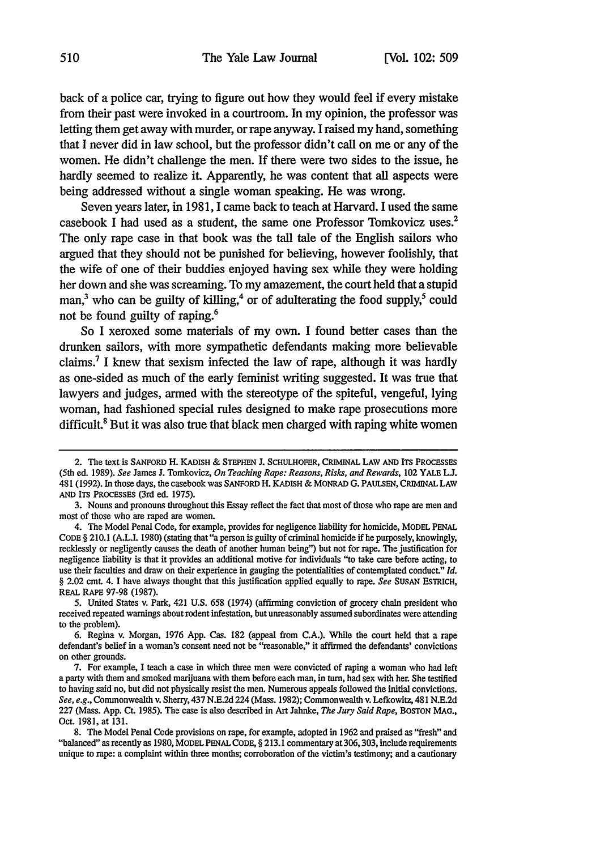back of a police car, trying to figure out how they would feel if every mistake from their past were invoked in a courtroom. In my opinion, the professor was letting them get away with murder, or rape anyway. I raised my hand, something that **I** never did in law school, but the professor didn't call on me or any of the women. He didn't challenge the men. If there were two sides to the issue, he hardly seemed to realize it. Apparently, he was content that all aspects were being addressed without a single woman speaking. He was wrong.

Seven years later, in **1981, I** came back to teach at Harvard. I used the same casebook **I** had used as a student, the same one Professor Tomkovicz uses.2 The only rape case in that book was the tall tale of the English sailors who argued that they should not be punished for believing, however foolishly, that the wife of one of their buddies enjoyed having sex while they were holding her down and she was screaming. To my amazement, the court held that a stupid man,<sup>3</sup> who can be guilty of killing,<sup>4</sup> or of adulterating the food supply,<sup>5</sup> could not be found guilty of raping.6

So **I** xeroxed some materials of my own. **I** found better cases than the drunken sailors, with more sympathetic defendants making more believable claims.7 **I** knew that sexism infected the law of rape, although it was hardly as one-sided as much of the early feminist writing suggested. It was true that lawyers and judges, armed with the stereotype of the spiteful, vengeful, lying woman, had fashioned special rules designed to make rape prosecutions more **difficult. <sup>8</sup>**But it was also true that black men charged with raping white women

5. United States v. Park, 421 U.S. 658 (1974) (affirming conviction of grocery chain president who received repeated warnings about rodent infestation, but unreasonably assumed subordinates were attending to the problem).

6. Regina v. Morgan, 1976 App. Cas. 182 (appeal from C.A.). While the court held that a rape defendant's belief in a woman's consent need not be "reasonable," it affirmed the defendants' convictions on other grounds.

7. For example, I teach a case in which three men were convicted of raping a woman who had left a party with them and smoked marijuana with them before each man, in turn, had sex with her. She testified to having said no, but did not physically resist the men. Numerous appeals followed the initial convictions. See, *e.g.,* Commonwealth v. Sherry, 437 N.E.2d 224 (Mass. 1982); Commonwealth v. Lefkowitz, 481 N.E.2d 227 (Mass. App. Ct. 1985). The case is also described in Art Jahnke, *The Jury Said Rape,* BOSTON MAO., Oct. 1981, at 131.

<sup>2.</sup> The text is **SANFORD H.** KADISH **& STEPHEN J. SCHULHOFER, CRIMINAL LAW AND ITS PROCESSES** (5th ed. 1989). *See* James **J.** Tomkovicz, *On Teaching Rape: Reasons, Risks, and Rewards,* 102 YALE **L.J.** 481 (1992). In those days, the casebook was SANFORD H. KADISH & MONRAD G. PAuLSEN, CRIMINAL LAW **AND** ITS PROCESSES (3rd ed. 1975).

<sup>3.</sup> Nouns and pronouns throughout this Essay reflect the fact that most of those who rape are men and most of those who are raped are women.

<sup>4.</sup> The Model Penal Code, for example, provides for negligence liability for homicide, MODEL **PENAL CODE** § 210.1 **(A.L.I.** 1980) (stating that "a person is guilty of criminal homicide if he purposely, knowingly, recklessly or negligently causes the death of another human being") but not for rape. The justification for negligence liability is that it provides an additional motive for individuals "to take care before acting, to use their faculties and draw on their experience in gauging the potentialities of contemplated conduct." *Id.* § 2.02 cmt. 4. I have always thought that this justification applied equally to rape. See *SusAN* ESTRIcH, REAL RAPE 97-98 (1987).

<sup>8.</sup> The Model Penal Code provisions on rape, for example, adopted in 1962 and praised as "fresh" and "balanced" as recently as 1980, MODEL **PENAL** CODE, § 213.1 commentary at 306,303, include requirements unique to rape: a complaint within three months; corroboration of the victim's testimony; and a cautionary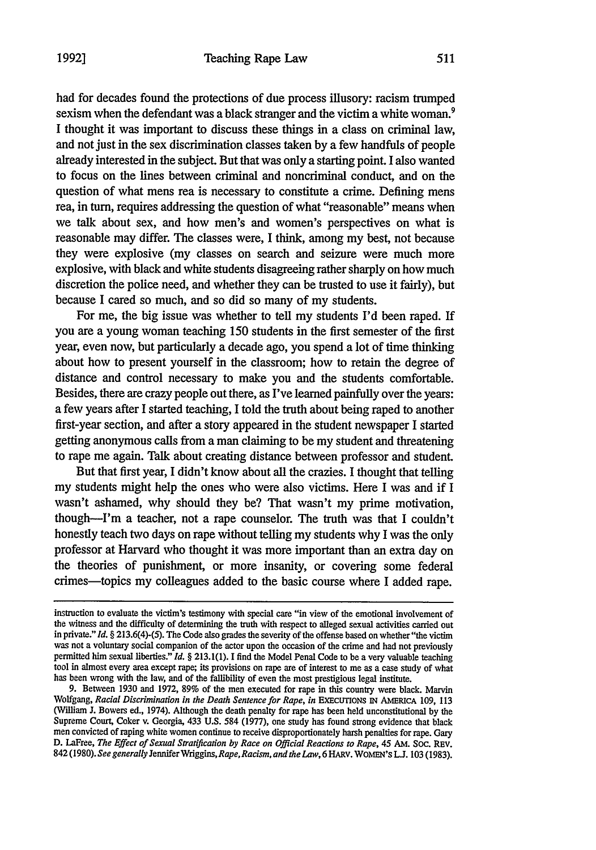had for decades found the protections of due process illusory: racism trumped sexism when the defendant was a black stranger and the victim a white woman.<sup>9</sup> I thought it was important to discuss these things in a class on criminal law, and not just in the sex discrimination classes taken by a few handfuls of people already interested in the subject. But that was only a starting point. I also wanted to focus on the lines between criminal and noncriminal conduct, and on the question of what mens rea is necessary to constitute a crime. Defining mens rea, in turn, requires addressing the question of what "reasonable" means when we talk about sex, and how men's and women's perspectives on what is reasonable may differ. The classes were, I think, among my best, not because they were explosive (my classes on search and seizure were much more explosive, with black and white students disagreeing rather sharply on how much discretion the police need, and whether they can be trusted to use it fairly), but because I cared so much, and so did so many of my students.

For me, the big issue was whether to tell my students I'd been raped. If you are a young woman teaching 150 students in the first semester of the first year, even now, but particularly a decade ago, you spend a lot of time thinking about how to present yourself in the classroom; how to retain the degree of distance and control necessary to make you and the students comfortable. Besides, there are crazy people out there, as I've learned painfully over the years: a few years after I started teaching, I told the truth about being raped to another first-year section, and after a story appeared in the student newspaper I started getting anonymous calls from a man claiming to be my student and threatening to rape me again. Talk about creating distance between professor and student.

But that first year, I didn't know about all the crazies. I thought that telling my students might help the ones who were also victims. Here I was and if I wasn't ashamed, why should they be? That wasn't my prime motivation, though-I'm a teacher, not a rape counselor. The truth was that I couldn't honestly teach two days on rape without telling my students why I was the only professor at Harvard who thought it was more important than an extra day on the theories of punishment, or more insanity, or covering some federal crimes—topics my colleagues added to the basic course where I added rape.

instruction to evaluate the victim's testimony with special care "in view of the emotional involvement of the witness and the difficulty of determining the truth with respect to alleged sexual activities carried out in private." *Id.* § 213.6(4)-(5). The Code also grades the severity of the offense based on whether "the victim was not a voluntary social companion of the actor upon the occasion of the crime and had not previously permitted him sexual liberties." *Id.* § 213.1(1). I find the Model Penal Code to be a very valuable teaching tool in almost every area except rape; its provisions on rape are of interest to me as a case study of what has been wrong with the law, and of the fallibility of even the most prestigious legal institute.

<sup>9.</sup> Between 1930 and 1972, 89% of the men executed for rape in this country were black. Marvin Wolfgang, *Racial Discrimination in the Death Sentence for Rape, in* **EXECUTIONS IN** AMERICA 109, 113 (William **J.** Bowers ed., 1974). Although the death penalty for rape has been held unconstitutional **by** the Supreme Court, Coker v. Georgia, 433 **U.S.** 584 (1977), one study has found strong evidence that black men convicted of raping white women continue to receive disproportionately harsh penalties for rape. Gary D. LaFree, The Effect of Sexual Stratification by Race on Official Reactions to Rape, 45 AM. Soc. REV. 842 (1980). *See generally* Jennifer Wriggins,Rape, *Racism, and the Law,* 6 **HARV.** WOMEN's **LJ.** 103 (1983).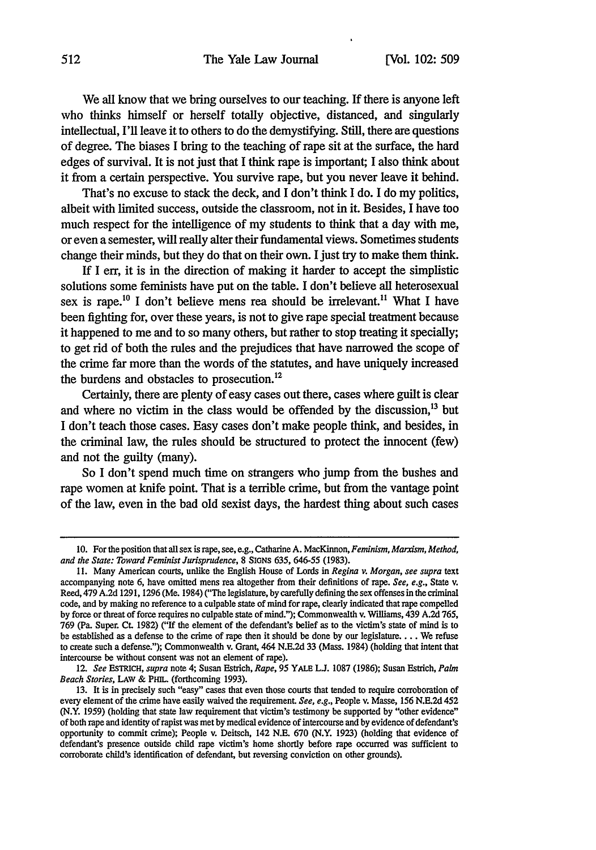#### The Yale Law Journal

We all know that we bring ourselves to our teaching. If there is anyone left who thinks himself or herself totally objective, distanced, and singularly intellectual, I'll leave it to others to do the demystifying. Still, there are questions of degree. The biases I bring to the teaching of rape sit at the surface, the hard edges of survival. It is not just that I think rape is important; I also think about it from a certain perspective. You survive rape, but you never leave it behind.

That's no excuse to stack the deck, and I don't think I do. I do my politics, albeit with limited success, outside the classroom, not in it. Besides, I have too much respect for the intelligence of my students to think that a day with me, or even a semester, will really alter their fundamental views. Sometimes students change their minds, but they do that on their own. I just try to make them think.

If I err, it is in the direction of making it harder to accept the simplistic solutions some feminists have put on the table. I don't believe all heterosexual sex is rape.<sup>10</sup> I don't believe mens rea should be irrelevant.<sup>11</sup> What I have been fighting for, over these years, is not to give rape special treatment because it happened to me and to so many others, but rather to stop treating it specially; to get rid of both the rules and the prejudices that have narrowed the scope of the crime far more than the words of the statutes, and have uniquely increased the burdens and obstacles to prosecution.<sup>12</sup>

Certainly, there are plenty of easy cases out there, cases where guilt is clear and where no victim in the class would be offended by the discussion,<sup>13</sup> but I don't teach those cases. Easy cases don't make people think, and besides, in the criminal law, the rules should be structured to protect the innocent (few) and not the guilty (many).

So I don't spend much time on strangers who jump from the bushes and rape women at knife point. That is a terrible crime, but from the vantage point of the law, even in the bad old sexist days, the hardest thing about such cases

<sup>10.</sup> For the position that all sex is rape, see, e.g., Catharine A. MacKinnon, *Feminism, Marxism, Method, and the State: Toward Feminist Jurisprudence,* 8 SIGNs 635, 646-55 (1983).

**<sup>11.</sup>** Many American courts, unlike the English House of Lords in *Regina v. Morgan, see supra* text accompanying note 6, have omitted mens rea altogether from their definitions of rape. *See, e.g.,* State v. Reed, 479 A.2d 1291,1296 (Me. 1984) ("The legislature, by carefully defining the sex offenses in the criminal code, and by making no reference to a culpable state of mind for rape, clearly indicated that rape compelled by force or threat of force requires no culpable state of mind."); Commonwealth v. Williams, 439 A.2d 765, 769 (Pa. Super. Ct. 1982) ("If the element of the defendant's belief as to the victim's state of mind is to be established as a defense to the crime of rape then it should be done by our legislature.... We refuse to create such a defense."); Commonwealth v. Grant, 464 N.E.2d 33 (Mass. 1984) (holding that intent that intercourse be without consent was not an element of rape).

*<sup>12.</sup> See ESTRICH, supra* note 4; Susan Estrich, *Rape,* 95 YALE **U.** 1087 (1986); Susan Estrich, *Palm Beach Stories,* LAW & PHIL. (forthcoming 1993).

**<sup>13.</sup>** It is in precisely such "easy" cases that even those courts that tended to require corroboration of every element of the crime have easily waived the requirement. *See, e.g.,* People v. Masse, 156 N.E.2d 452 (N.Y. 1959) (holding that state law requirement that victim's testimony be supported by "other evidence" of both rape and identity of rapist was met by medical evidence of intercourse and by evidence of defendant's opportunity to commit crime); People v. Deitseh, 142 N.E. 670 (N.Y. 1923) (holding that evidence of defendant's presence outside child rape victim's home shortly before rape occurred was sufficient to corroborate child's identification of defendant, but reversing conviction on other grounds).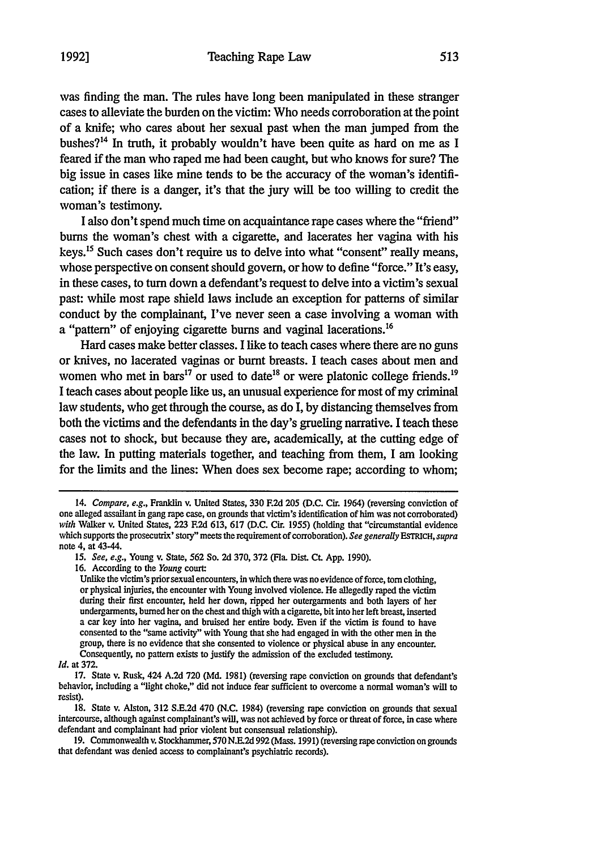was finding the man. The rules have long been manipulated in these stranger cases to alleviate the burden on the victim: Who needs corroboration at the point of a knife; who cares about her sexual past when the man jumped from the bushes? 14 In truth, it probably wouldn't have been quite as hard on me as I feared if the man who raped me had been caught, but who knows for sure? The big issue in cases like mine tends to be the accuracy of the woman's identification; if there is a danger, it's that the jury will be too willing to credit the woman's testimony.

I also don't spend much time on acquaintance rape cases where the "friend" bums the woman's chest with a cigarette, and lacerates her vagina with his keys.15 Such cases don't require us to delve into what "consent" really means, whose perspective on consent should govern, or how to define "force." It's easy, in these cases, to turn down a defendant's request to delve into a victim's sexual past: while most rape shield laws include an exception for patterns of similar conduct by the complainant, I've never seen a case involving a woman with a "pattern" of enjoying cigarette burns and vaginal lacerations. <sup>16</sup>

Hard cases make better classes. I like to teach cases where there are no guns or knives, no lacerated vaginas or burnt breasts. I teach cases about men and women who met in bars<sup>17</sup> or used to date<sup>18</sup> or were platonic college friends.<sup>19</sup> I teach cases about people like us, an unusual experience for most of my criminal law students, who get through the course, as do I, by distancing themselves from both the victims and the defendants in the day's grueling narrative. I teach these cases not to shock, but because they are, academically, at the cutting edge of the law. In putting materials together, and teaching from them, I am looking for the limits and the lines: When does sex become rape; according to whom;

#### *Id.* at 372.

<sup>14.</sup> Compare, e.g., Franklin v. United States, 330 **F.2d 205 (D.C.** Cir. 1964) (reversing conviction of one alleged assailant in gang rape case, on grounds that victim's identification of him was not corroborated) *with* Walker v. United States, 223 **F.2d** 613, 617 (D.C. Cir. 1955) (holding that "circumstantial evidence which supports the prosecutrix' story" meets the requirement of corroboration). *See generally ESTRICH, supra* note 4, at 43-44.

*<sup>15.</sup> See, e.g.,* Young v. State, 562 So. 2d 370, 372 (Fla. Dist. Ct. App. 1990).

<sup>16.</sup> According to the *Young* court:

Unlike the victim's prior sexual encounters, in which there was no evidence of force, torn clothing, or physical injuries, the encounter with Young involved violence. He allegedly raped the victim during their first encounter, held her down, ripped her outergarments and both layers of her undergarments, burned her on the chest and thigh with a cigarette, bit into her left breast, inserted a car key into her vagina, and bruised her entire body. Even **if** the victim is found to have consented to the "same activity" with Young that she had engaged in with the other men in the group, there is no evidence that she consented to violence or physical abuse in any encounter. Consequently, no pattern exists to justify the admission of the excluded testimony.

<sup>17.</sup> State v. Rusk, 424 A.2d 720 (Md. 1981) (reversing rape conviction on grounds that defendant's behavior, including a "light choke," did not induce fear sufficient to overcome a normal woman's will to resist).

<sup>18.</sup> State v. Alston, **312** S.E.2d 470 (N.C. 1984) (reversing rape conviction on grounds that sexual intercourse, although against complainant's will, was not achieved by force or threat of force, in case where defendant and complainant had prior violent but consensual relationship).

<sup>19.</sup> Commonwealth v. Stockhammer, 570 N.E.2d 992 (Mass. 1991) (reversing rape conviction on grounds that defendant was denied access to complainant's psychiatric records).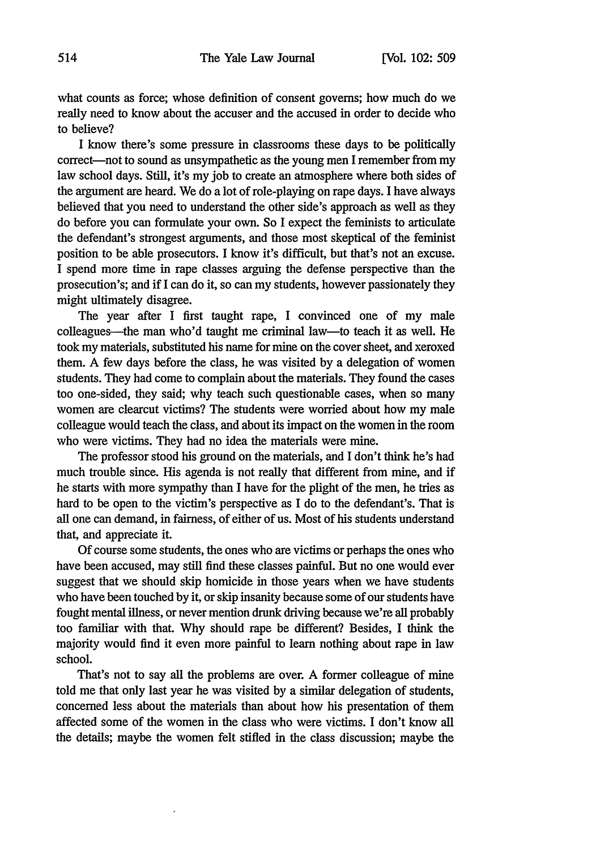what counts as force; whose definition of consent governs; how much do we really need to know about the accuser and the accused in order to decide who to believe?

I know there's some pressure in classrooms these days to be politically correct-not to sound as unsympathetic as the young men I remember from my law school days. Still, it's my job to create an atmosphere where both sides of the argument are heard. We do a lot of role-playing on rape days. I have always believed that you need to understand the other side's approach as well as they do before you can formulate your own. So I expect the feminists to articulate the defendant's strongest arguments, and those most skeptical of the feminist position to be able prosecutors. I know it's difficult, but that's not an excuse. I spend more time in rape classes arguing the defense perspective than the prosecution's; and if I can do it, so can my students, however passionately they might ultimately disagree.

The year after I first taught rape, I convinced one of my male colleagues-the man who'd taught me criminal law-to teach it as well. He took my materials, substituted his name for mine on the cover sheet, and xeroxed them. A few days before the class, he was visited by a delegation of women students. They had come to complain about the materials. They found the cases too one-sided, they said; why teach such questionable cases, when so many women are clearcut victims? The students were worried about how my male colleague would teach the class, and about its impact on the women in the room who were victims. They had no idea the materials were mine.

The professor stood his ground on the materials, and I don't think he's had much trouble since. His agenda is not really that different from mine, and if he starts with more sympathy than I have for the plight of the men, he tries as hard to be open to the victim's perspective as I do to the defendant's. That is all one can demand, in fairness, of either of us. Most of his students understand that, and appreciate it.

Of course some students, the ones who are victims or perhaps the ones who have been accused, may still find these classes painful. But no one would ever suggest that we should skip homicide in those years when we have students who have been touched by it, or skip insanity because some of our students have fought mental illness, or never mention drunk driving because we're all probably too familiar with that. Why should rape be different? Besides, I think the majority would find it even more painful to learn nothing about rape in law school.

That's not to say all the problems are over. A former colleague of mine told me that only last year he was visited by a similar delegation of students, concerned less about the materials than about how his presentation of them affected some of the women in the class who were victims. I don't know all the details; maybe the women felt stifled in the class discussion; maybe the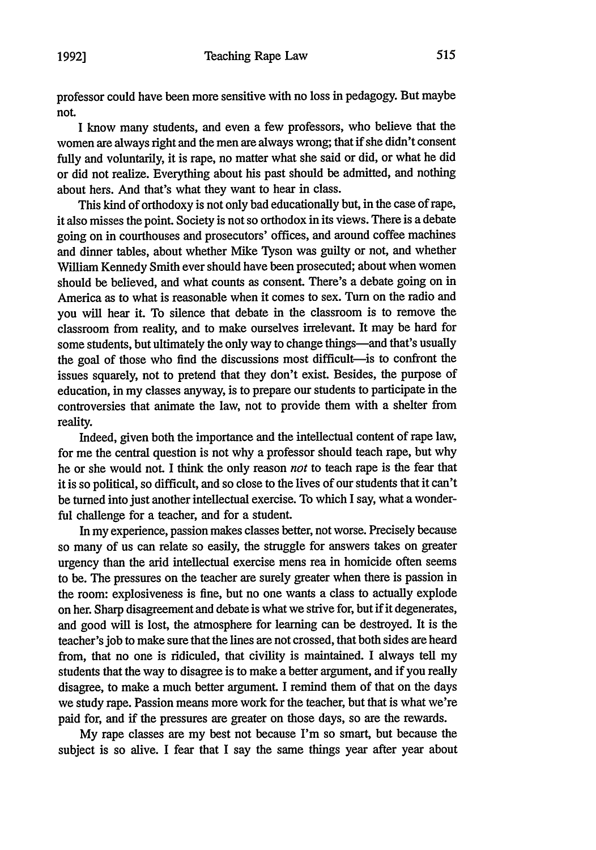professor could have been more sensitive with no loss in pedagogy. But maybe not.

I know many students, and even a few professors, who believe that the women are always right and the men are always wrong; that if she didn't consent fully and voluntarily, it is rape, no matter what she said or did, or what he did or did not realize. Everything about his past should be admitted, and nothing about hers. And that's what they want to hear in class.

This kind of orthodoxy is not only bad educationally but, in the case of rape, it also misses the point. Society is not so orthodox in its views. There is a debate going on in courthouses and prosecutors' offices, and around coffee machines and dinner tables, about whether Mike Tyson was guilty or not, and whether William Kennedy Smith ever should have been prosecuted; about when women should be believed, and what counts as consent. There's a debate going on in America as to what is reasonable when it comes to sex. Turn on the radio and you will hear it. To silence that debate in the classroom is to remove the classroom from reality, and to make ourselves irrelevant. It may be hard for some students, but ultimately the only way to change things—and that's usually the goal of those who find the discussions most difficult-is to confront the issues squarely, not to pretend that they don't exist. Besides, the purpose of education, in my classes anyway, is to prepare our students to participate in the controversies that animate the law, not to provide them with a shelter from reality.

Indeed, given both the importance and the intellectual content of rape law, for me the central question is not why a professor should teach rape, but why he or she would not. I think the only reason *not* to teach rape is the fear that it is so political, so difficult, and so close to the lives of our students that it can't be turned into just another intellectual exercise. To which I say, what a wonderful challenge for a teacher, and for a student.

In my experience, passion makes classes better, not worse. Precisely because so many of us can relate so easily, the struggle for answers takes on greater urgency than the arid intellectual exercise mens rea in homicide often seems to be. The pressures on the teacher are surely greater when there is passion in the room: explosiveness is fine, but no one wants a class to actually explode on her. Sharp disagreement and debate is what we strive for, but if it degenerates, and good will is lost, the atmosphere for learning can be destroyed. It is the teacher's job to make sure that the lines are not crossed, that both sides are heard from, that no one is ridiculed, that civility is maintained. I always tell my students that the way to disagree is to make a better argument, and if you really disagree, to make a much better argument. I remind them of that on the days we study rape. Passion means more work for the teacher, but that is what we're paid for, and if the pressures are greater on those days, so are the rewards.

My rape classes are my best not because I'm so smart, but because the subject is so alive. I fear that I say the same things year after year about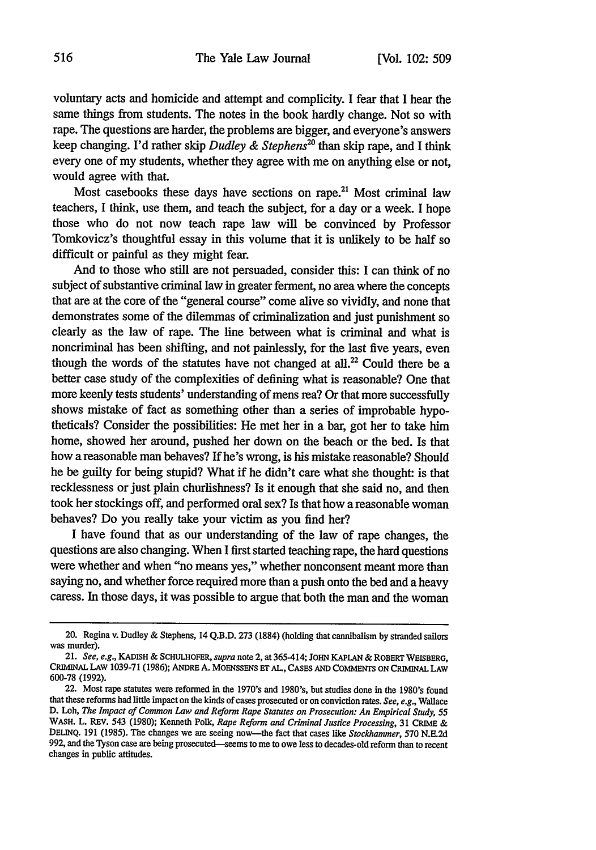voluntary acts and homicide and attempt and complicity. I fear that I hear the same things from students. The notes in the book hardly change. Not so with rape. The questions are harder, the problems are bigger, and everyone's answers keep changing. I'd rather skip *Dudley & Stephens*<sup>20</sup> than skip rape, and I think every one of my students, whether they agree with me on anything else or not, would agree with that.

Most casebooks these days have sections on rape. $21$  Most criminal law teachers, I think, use them, and teach the subject, for a day or a week. I hope those who do not now teach rape law will be convinced by Professor Tomkovicz's thoughtful essay in this volume that it is unlikely to be half so difficult or painful as they might fear.

And to those who still are not persuaded, consider this: I can think of no subject of substantive criminal law in greater ferment, no area where the concepts that are at the core of the "general course" come alive so vividly, and none that demonstrates some of the dilemmas of criminalization and just punishment so clearly as the law of rape. The line between what is criminal and what is noncriminal has been shifting, and not painlessly, for the last five years, even though the words of the statutes have not changed at all.<sup>22</sup> Could there be a better case study of the complexities of defining what is reasonable? One that more keenly tests students' understanding of mens rea? Or that more successfully shows mistake of fact as something other than a series of improbable hypotheticals? Consider the possibilities: He met her in a bar, got her to take him home, showed her around, pushed her down on the beach or the bed. Is that how a reasonable man behaves? If he's wrong, is his mistake reasonable? Should he be guilty for being stupid? What if he didn't care what she thought: is that recklessness or just plain churlishness? Is it enough that she said no, and then took her stockings off, and performed oral sex? Is that how a reasonable woman behaves? Do you really take your victim as you find her?

I have found that as our understanding of the law of rape changes, the questions are also changing. When I first started teaching rape, the hard questions were whether and when "no means yes," whether nonconsent meant more than saying no, and whether force required more than a push onto the bed and a heavy caress. In those days, it was possible to argue that both the man and the woman

<sup>20.</sup> Regina v. Dudley & Stephens, 14 Q.B.D. 273 (1884) (holding that cannibalism by stranded sailors was murder).

<sup>21.</sup> *See, e.g.,* KADISH & **SCHULHOFER,** *supra* note 2, at 365-414; JOHN **KAPLAN** & ROBERT **WEISBERO, CRIMINAL** LAW **1039-71** (1986); **ANDRE A. MOENSSENS ET AL, CASES AND COMMENTS ON CRIMINAL** LAW 600-78 (1992).

<sup>22.</sup> Most rape statutes were reformed in the 1970's and 1980's, but studies done in the 1980's found that these reforms had little impact on the kinds of cases prosecuted or on conviction rates. *See, e.g.,* Wallace D. Loh, *The Impact of Common Law and Reform Rape Statutes on Prosecution: An Empirical Study, 55* WASH. L. REV. 543 (1980); Kenneth Polk, *Rape Reform and Criminal Justice Processing,* 31 **CRIME & DELINQ.** 191 (1985). The changes we are seeing now-the fact that cases like *Stockhammer,* 570 N.E.2d 992, and the "Tyson case are being prosecuted-seems to me to owe less to decades-old reform than to recent changes in public attitudes.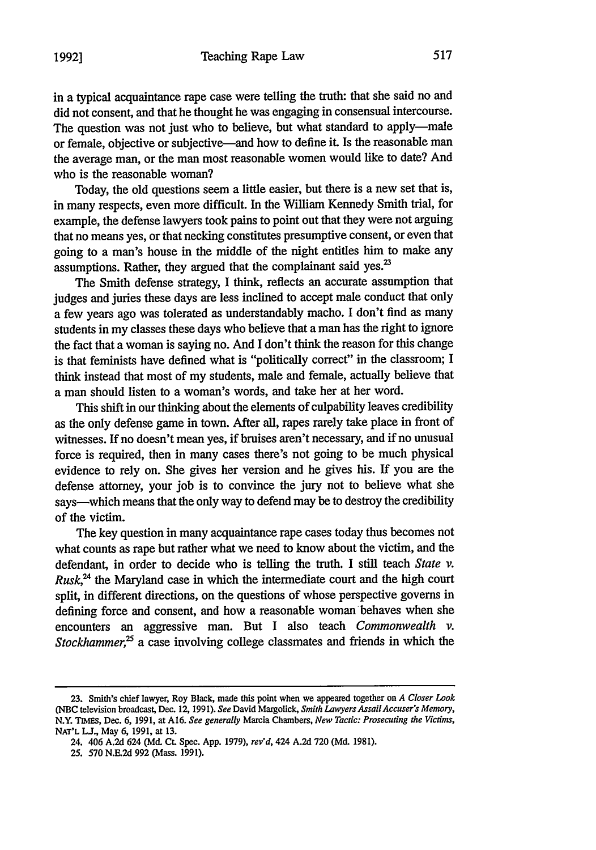### Teaching Rape Law

in a typical acquaintance rape case were telling the truth: that she said no and did not consent, and that he thought he was engaging in consensual intercourse. The question was not just who to believe, but what standard to apply-male or female, objective or subjective-and how to define it. Is the reasonable man the average man, or the man most reasonable women would like to date? And who is the reasonable woman?

Today, the old questions seem a little easier, but there is a new set that is, in many respects, even more difficult. In the William Kennedy Smith trial, for example, the defense lawyers took pains to point out that they were not arguing that no means yes, or that necking constitutes presumptive consent, or even that going to a man's house in the middle of the night entitles him to make any assumptions. Rather, they argued that the complainant said yes.<sup>23</sup>

The Smith defense strategy, I think, reflects an accurate assumption that judges and juries these days are less inclined to accept male conduct that only a few years ago was tolerated as understandably macho. I don't find as many students in my classes these days who believe that a man has the right to ignore the fact that a woman is saying no. And I don't think the reason for this change is that feminists have defined what is "politically correct" in the classroom; I think instead that most of my students, male and female, actually believe that a man should listen to a woman's words, and take her at her word.

This shift in our thinking about the elements of culpability leaves credibility as the only defense game in town. After all, rapes rarely take place in front of witnesses. If no doesn't mean yes, if bruises aren't necessary, and if no unusual force is required, then in many cases there's not going to be much physical evidence to rely on. She gives her version and he gives his. If you are the defense attorney, your job is to convince the jury not to believe what she says—which means that the only way to defend may be to destroy the credibility of the victim.

The key question in many acquaintance rape cases today thus becomes not what counts as rape but rather what we need to know about the victim, and the defendant, in order to decide who is telling the truth. I still teach *State v. Rusk*,<sup>24</sup> the Maryland case in which the intermediate court and the high court split, in different directions, on the questions of whose perspective governs in defining force and consent, and how a reasonable woman behaves when she encounters an aggressive man. But I also teach *Commonwealth v. Stockhammer*<sup>25</sup> a case involving college classmates and friends in which the

**<sup>23.</sup>** Smith's chief lawyer, Roy Black, made this point when we appeared together on *A Closer Look* (NBC television broadcast, Dec. 12, 1991). *See* David Margolick, *Smith Lawyers AssailAccuser's Memory,* N.Y. TIMES, Dec. 6, 1991, at A16. *See generally* Marcia Chambers, *New Tactic: Prosecuting the Victims,* **NAT'L U.,** May 6, 1991, at 13.

<sup>24. 406</sup> A.2d 624 (Md. Ct. Spec. App. 1979), *rev'd,* 424 A.2d 720 (Md. 1981).

<sup>25. 570</sup> N.E.2d **992** (Mass. 1991).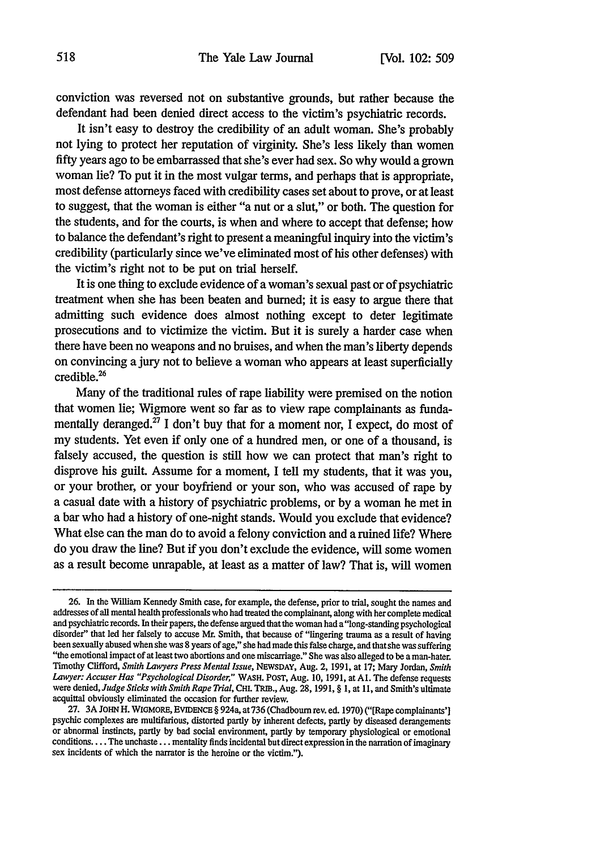conviction was reversed not on substantive grounds, but rather because the defendant had been denied direct access to the victim's psychiatric records.

It isn't easy to destroy the credibility of an adult woman. She's probably not lying to protect her reputation of virginity. She's less likely than women fifty years ago to be embarrassed that she's ever had sex. So why would a grown woman lie? To put it in the most vulgar terms, and perhaps that is appropriate, most defense attorneys faced with credibility cases set about to prove, or at least to suggest, that the woman is either "a nut or a slut," or both. The question for the students, and for the courts, is when and where to accept that defense; how to balance the defendant's right to present a meaningful inquiry into the victim's credibility (particularly since we've eliminated most of his other defenses) with the victim's right not to be put on trial herself.

It is one thing to exclude evidence of a woman's sexual past or of psychiatric treatment when she has been beaten and burned; it is easy to argue there that admitting such evidence does almost nothing except to deter legitimate prosecutions and to victimize the victim. But it is surely a harder case when there have been no weapons and no bruises, and when the man's liberty depends on convincing a jury not to believe a woman who appears at least superficially credible.<sup>26</sup>

Many of the traditional rules of rape liability were premised on the notion that women lie; Wigmore went so far as to view rape complainants as fundamentally deranged.<sup>27</sup> I don't buy that for a moment nor, I expect, do most of my students. Yet even if only one of a hundred men, or one of a thousand, is falsely accused, the question is still how we can protect that man's right to disprove his guilt. Assume for a moment, I tell my students, that it was you, or your brother, or your boyfriend or your son, who was accused of rape by a casual date with a history of psychiatric problems, or by a woman he met in a bar who had a history of one-night stands. Would you exclude that evidence? What else can the man do to avoid a felony conviction and a ruined life? Where do you draw the line? But if you don't exclude the evidence, will some women as a result become unrapable, at least as a matter of law? That is, will women

**<sup>26.</sup>** In the William Kennedy Smith case, for example, the defense, prior to trial, sought the names and addresses of all mental health professionals who had treated the complainant, along with her complete medical and psychiatric records. In their papers, the defense argued that the woman had a"long-standing psychological disorder" that led her falsely to accuse Mr. Smith, that because of "lingering trauma as a result of having been sexually abused when she was 8 years of age," she had made this false charge, and that she was suffering "the emotional impact of at least two abortions and one miscarriage." She was also alleged to be a man-hater. Timothy Clifford, *Smith Lawyers Press Mental Issue,* NEWSDAY, Aug. 2, 1991, at 17; Mary Jordan, *Smith Lawyer: Accuser Has "Psychological Disorder,"* WASH. PosT, Aug. 10, 1991, at Al. The defense requests were denied, *Judge Sticks with Smith Rape Trial,* **CHL** TRIB., Aug. 28, 1991, § 1, at 11, and Smith's ultimate acquittal obviously eliminated the occasion for further review.

<sup>27. 3</sup>A JOHN H. WIGMORE, EVIDENcE § 924a, at 736 (Chadboum rev. ed. 1970) ("[Rape complainants'] psychic complexes are multifarious, distorted partly by inherent defects, partly by diseased derangements or abnormal instincts, partly by bad social environment, partly by temporary physiological or emotional conditions .... The unchaste... mentality finds incidental but direct expression in the narration of imaginary sex incidents of which the narrator is the heroine or the victim.").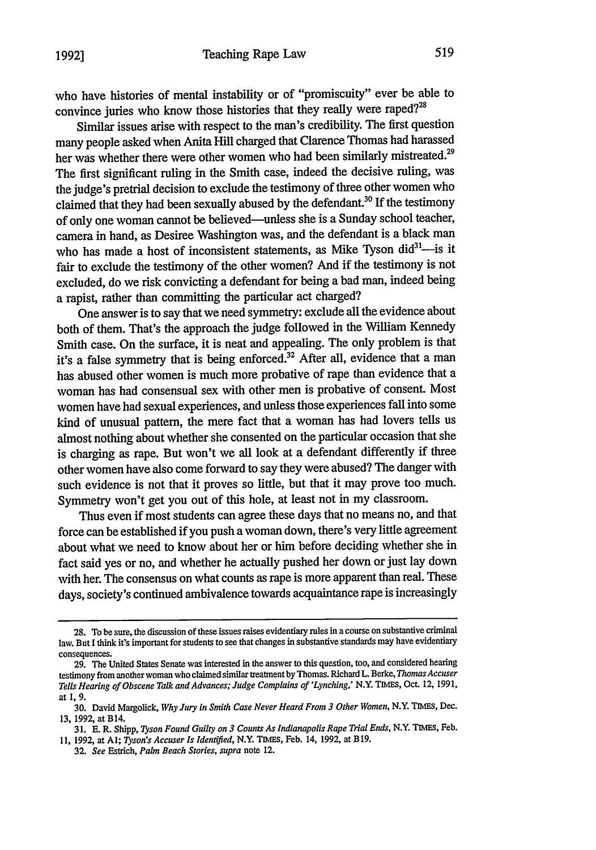who have histories of mental instability or of "promiscuity" ever be able to convince juries who know those histories that they really were raped? $2^{28}$ 

Similar issues arise with respect to the man's credibility. The first question many people asked when Anita Hill charged that Clarence Thomas had harassed her was whether there were other women who had been similarly mistreated.<sup>29</sup> The first significant ruling in the Smith case, indeed the decisive ruling, was the judge's pretrial decision to exclude the testimony of three other women who claimed that they had been sexually abused by the defendant.<sup>30</sup> If the testimony of only one woman cannot be believed-unless she is a Sunday school teacher, camera in hand, as Desiree Washington was, and the defendant is a black man who has made a host of inconsistent statements, as Mike Tyson did $31$ —is it fair to exclude the testimony of the other women? And if the testimony is not excluded, do we risk convicting a defendant for being a bad man, indeed being a rapist, rather than committing the particular act charged?

One answer is to say that we need symmetry: exclude all the evidence about both of them. That's the approach the judge followed in the William Kennedy Smith case. On the surface, it is neat and appealing. The only problem is that it's a false symmetry that is being enforced.<sup>32</sup> After all, evidence that a man has abused other women is much more probative of rape than evidence that a woman has had consensual sex with other men is probative of consent. Most women have had sexual experiences, and unless those experiences fall into some kind of unusual pattern, the mere fact that a woman has had lovers tells us almost nothing about whether she consented on the particular occasion that she is charging as rape. But won't we all look at a defendant differently if three other women have also come forward to say they were abused? The danger with such evidence is not that it proves so little, but that it may prove too much. Symmetry won't get you out of this hole, at least not in my classroom.

Thus even if most students can agree these days that no means no, and that force can be established if you push a woman down, there's very little agreement about what we need to know about her or him before deciding whether she in fact said yes or no, and whether he actually pushed her down or just lay down with her. The consensus on what counts as rape is more apparent than real. These days, society's continued ambivalence towards acquaintance rape is increasingly

**<sup>28.</sup>** To be sure, the discussion of these issues raises evidentiary rules in a course on substantive criminal law. But I think it's important for students to see that changes in substantive standards may have evidentiary consequences.

**<sup>29.</sup>** The United States Senate was interested in the answer to this question, too, and considered hearing testimony from another woman who claimed similar treatment by Thomas. Richard L. Berke, Thomas Accuser *Tells Hearing of Obscene Talk and Advances; Judge Complains of "Lynching,'* N.Y. TIMES, Oct. 12, 1991, at **1,** 9.

<sup>30.</sup> David Margolick, *Why Jury in Smith Case Never Heard From 3 Other Women,* N.Y. TIMES, Dec. 13, 1992, at B14.

**<sup>31.</sup> E.** R. **Shipp,** *Tyson Found Guilty on 3 Counts As Indianapolis Rape Trial Ends,* N.Y. TIMES, Feb. **11,** 1992, at Al; *Tyson's Accuser Is Identified,* N.Y. TIMES, Feb. 14, 1992, at B19.

**<sup>32.</sup>** *See* Estrich, *Palm Beach Stories, supra* note 12.